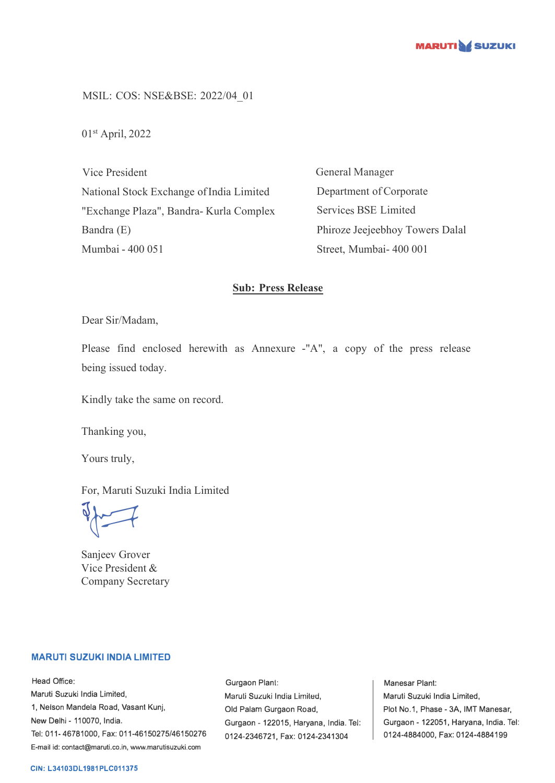

MSIL: COS: NSE&BSE: 2022/04\_01

01st April, 2022

Vice President National Stock Exchange of India Limited "Exchange Plaza", Bandra- Kurla Complex Bandra (E) Mumbai - 400 051

General Manager Department of Corporate Services BSE Limited Phiroze Jeejeebhoy Towers Dalal Street, Mumbai- 400 001

## **Sub: Press Release**

Dear Sir/Madam,

Please find enclosed herewith as Annexure -"A", a copy of the press release being issued today.

Kindly take the same on record.

Thanking you,

Yours truly,

For, Maruti Suzuki India Limited

 $\sqrt{2}$ 

Sanjeev Grover Vice President & Company Secretary

## **MARUTI SUZUKI INDIA LIMITED**

Head Office: Maruti Suzuki India Limited, 1, Nelson Mandela Road, Vasant Kunj, New Delhi - 110070, India. Tel: 011-46781000, Fax: 011-46150275/46150276 E-mail id: contact@maruti.co.in, www.marutisuzuki.com

Gurgaon Plant: Maruli Suzuki India Lirniled, Old Palam Gurgaon Road, Gurgaon - 122015, Haryana, India. Tel: 0124-2346721, Fax: 0124-2341304

Manesar Plant: Maruti Suzuki India Limited, Plot No.1, Phase - 3A, IMT Manesar, Gurgaon - 122051, Haryana, India. Tel: 0124-4884000, Fax: 0124-4884199

## **CIN: L34103DL1981PLC011375**